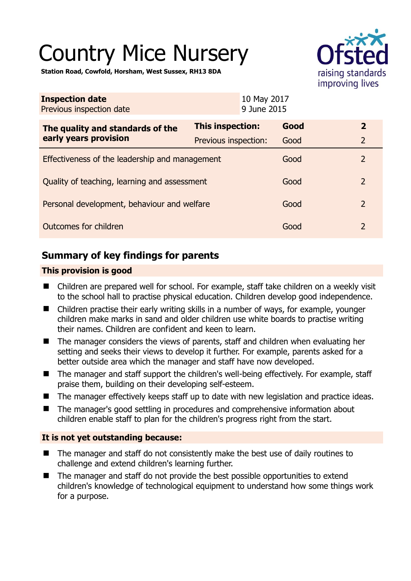# Country Mice Nursery



**Station Road, Cowfold, Horsham, West Sussex, RH13 8DA** 

| <b>Inspection date</b><br>Previous inspection date        | 10 May 2017<br>9 June 2015 |      |                |
|-----------------------------------------------------------|----------------------------|------|----------------|
| The quality and standards of the<br>early years provision | <b>This inspection:</b>    | Good | $\overline{2}$ |
|                                                           | Previous inspection:       | Good | $\overline{2}$ |
| Effectiveness of the leadership and management            |                            | Good | $\overline{2}$ |
| Quality of teaching, learning and assessment              |                            | Good | $\overline{2}$ |
| Personal development, behaviour and welfare               |                            | Good | $\overline{2}$ |
| Outcomes for children                                     |                            | Good | $\overline{2}$ |

# **Summary of key findings for parents**

## **This provision is good**

- Children are prepared well for school. For example, staff take children on a weekly visit to the school hall to practise physical education. Children develop good independence.
- Children practise their early writing skills in a number of ways, for example, younger children make marks in sand and older children use white boards to practise writing their names. Children are confident and keen to learn.
- The manager considers the views of parents, staff and children when evaluating her setting and seeks their views to develop it further. For example, parents asked for a better outside area which the manager and staff have now developed.
- The manager and staff support the children's well-being effectively. For example, staff praise them, building on their developing self-esteem.
- The manager effectively keeps staff up to date with new legislation and practice ideas.
- The manager's good settling in procedures and comprehensive information about children enable staff to plan for the children's progress right from the start.

## **It is not yet outstanding because:**

- The manager and staff do not consistently make the best use of daily routines to challenge and extend children's learning further.
- The manager and staff do not provide the best possible opportunities to extend children's knowledge of technological equipment to understand how some things work for a purpose.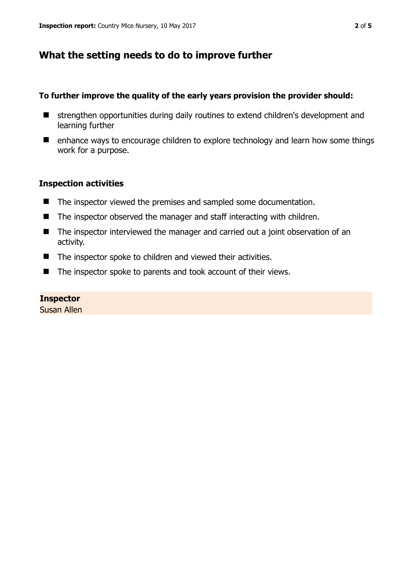# **What the setting needs to do to improve further**

## **To further improve the quality of the early years provision the provider should:**

- strengthen opportunities during daily routines to extend children's development and learning further
- enhance ways to encourage children to explore technology and learn how some things work for a purpose.

#### **Inspection activities**

- The inspector viewed the premises and sampled some documentation.
- $\blacksquare$  The inspector observed the manager and staff interacting with children.
- The inspector interviewed the manager and carried out a joint observation of an activity.
- The inspector spoke to children and viewed their activities.
- The inspector spoke to parents and took account of their views.

#### **Inspector**

Susan Allen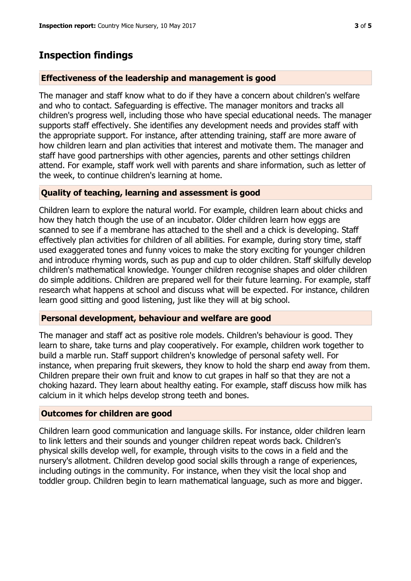## **Inspection findings**

#### **Effectiveness of the leadership and management is good**

The manager and staff know what to do if they have a concern about children's welfare and who to contact. Safeguarding is effective. The manager monitors and tracks all children's progress well, including those who have special educational needs. The manager supports staff effectively. She identifies any development needs and provides staff with the appropriate support. For instance, after attending training, staff are more aware of how children learn and plan activities that interest and motivate them. The manager and staff have good partnerships with other agencies, parents and other settings children attend. For example, staff work well with parents and share information, such as letter of the week, to continue children's learning at home.

#### **Quality of teaching, learning and assessment is good**

Children learn to explore the natural world. For example, children learn about chicks and how they hatch though the use of an incubator. Older children learn how eggs are scanned to see if a membrane has attached to the shell and a chick is developing. Staff effectively plan activities for children of all abilities. For example, during story time, staff used exaggerated tones and funny voices to make the story exciting for younger children and introduce rhyming words, such as pup and cup to older children. Staff skilfully develop children's mathematical knowledge. Younger children recognise shapes and older children do simple additions. Children are prepared well for their future learning. For example, staff research what happens at school and discuss what will be expected. For instance, children learn good sitting and good listening, just like they will at big school.

#### **Personal development, behaviour and welfare are good**

The manager and staff act as positive role models. Children's behaviour is good. They learn to share, take turns and play cooperatively. For example, children work together to build a marble run. Staff support children's knowledge of personal safety well. For instance, when preparing fruit skewers, they know to hold the sharp end away from them. Children prepare their own fruit and know to cut grapes in half so that they are not a choking hazard. They learn about healthy eating. For example, staff discuss how milk has calcium in it which helps develop strong teeth and bones.

#### **Outcomes for children are good**

Children learn good communication and language skills. For instance, older children learn to link letters and their sounds and younger children repeat words back. Children's physical skills develop well, for example, through visits to the cows in a field and the nursery's allotment. Children develop good social skills through a range of experiences, including outings in the community. For instance, when they visit the local shop and toddler group. Children begin to learn mathematical language, such as more and bigger.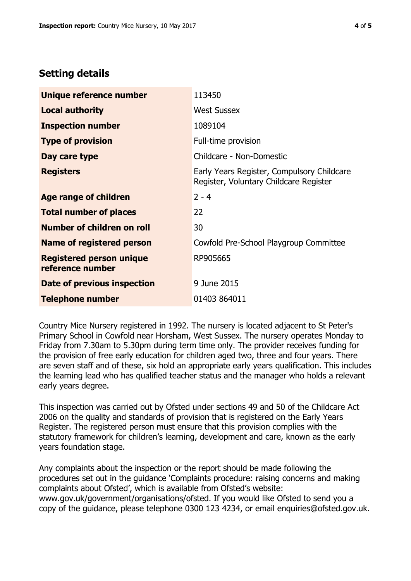# **Setting details**

| Unique reference number                             | 113450                                                                               |  |
|-----------------------------------------------------|--------------------------------------------------------------------------------------|--|
| <b>Local authority</b>                              | <b>West Sussex</b>                                                                   |  |
| <b>Inspection number</b>                            | 1089104                                                                              |  |
| <b>Type of provision</b>                            | Full-time provision                                                                  |  |
| Day care type                                       | Childcare - Non-Domestic                                                             |  |
| <b>Registers</b>                                    | Early Years Register, Compulsory Childcare<br>Register, Voluntary Childcare Register |  |
| Age range of children                               | $2 - 4$                                                                              |  |
| <b>Total number of places</b>                       | 22                                                                                   |  |
| Number of children on roll                          | 30                                                                                   |  |
| Name of registered person                           | Cowfold Pre-School Playgroup Committee                                               |  |
| <b>Registered person unique</b><br>reference number | RP905665                                                                             |  |
| Date of previous inspection                         | 9 June 2015                                                                          |  |
| <b>Telephone number</b>                             | 01403 864011                                                                         |  |

Country Mice Nursery registered in 1992. The nursery is located adjacent to St Peter's Primary School in Cowfold near Horsham, West Sussex. The nursery operates Monday to Friday from 7.30am to 5.30pm during term time only. The provider receives funding for the provision of free early education for children aged two, three and four years. There are seven staff and of these, six hold an appropriate early years qualification. This includes the learning lead who has qualified teacher status and the manager who holds a relevant early years degree.

This inspection was carried out by Ofsted under sections 49 and 50 of the Childcare Act 2006 on the quality and standards of provision that is registered on the Early Years Register. The registered person must ensure that this provision complies with the statutory framework for children's learning, development and care, known as the early years foundation stage.

Any complaints about the inspection or the report should be made following the procedures set out in the guidance 'Complaints procedure: raising concerns and making complaints about Ofsted', which is available from Ofsted's website: www.gov.uk/government/organisations/ofsted. If you would like Ofsted to send you a copy of the guidance, please telephone 0300 123 4234, or email enquiries@ofsted.gov.uk.